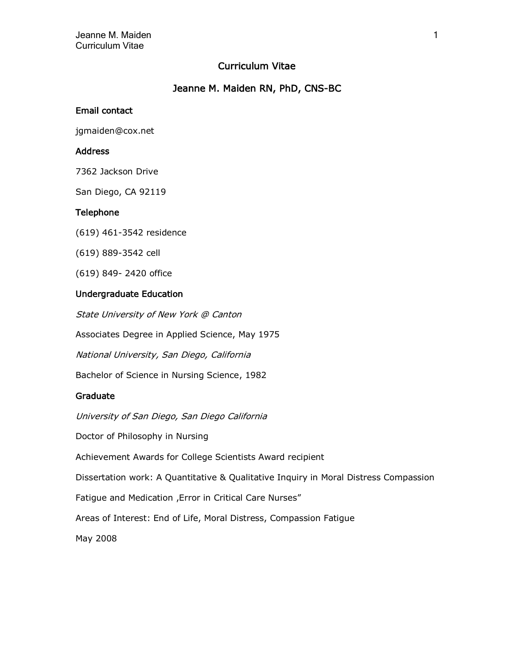# Curriculum Vitae

# Jeanne M. Maiden RN, PhD, CNS-BC

### Email contact

jgmaiden@cox.net

### Address

7362 Jackson Drive

San Diego, CA 92119

### Telephone

(619) 461-3542 residence

(619) 889-3542 cell

(619) 849- 2420 office

## Undergraduate Education

State University of New York @ Canton

Associates Degree in Applied Science, May 1975

National University, San Diego, California

Bachelor of Science in Nursing Science, 1982

### Graduate

University of San Diego, San Diego California

Doctor of Philosophy in Nursing

Achievement Awards for College Scientists Award recipient

Dissertation work: A Quantitative & Qualitative Inquiry in Moral Distress Compassion

Fatigue and Medication ,Error in Critical Care Nurses"

Areas of Interest: End of Life, Moral Distress, Compassion Fatigue

May 2008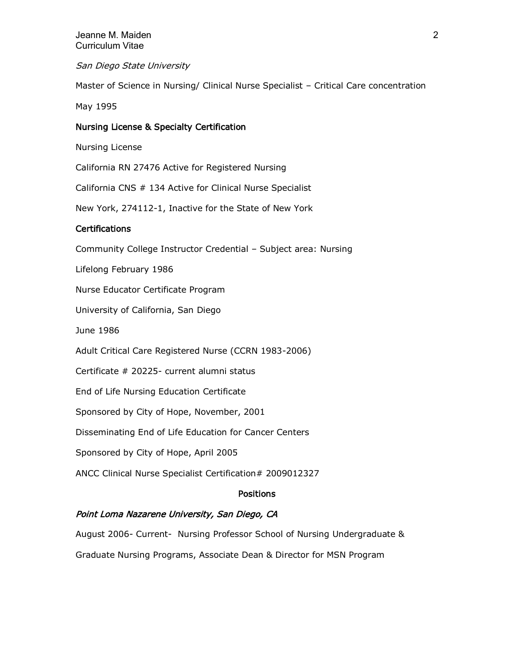San Diego State University

Master of Science in Nursing/ Clinical Nurse Specialist – Critical Care concentration

May 1995

## Nursing License & Specialty Certification

Nursing License

California RN 27476 Active for Registered Nursing

California CNS # 134 Active for Clinical Nurse Specialist

New York, 274112-1, Inactive for the State of New York

## Certifications

Community College Instructor Credential – Subject area: Nursing

Lifelong February 1986

Nurse Educator Certificate Program

University of California, San Diego

June 1986

Adult Critical Care Registered Nurse (CCRN 1983-2006)

Certificate # 20225- current alumni status

End of Life Nursing Education Certificate

Sponsored by City of Hope, November, 2001

Disseminating End of Life Education for Cancer Centers

Sponsored by City of Hope, April 2005

ANCC Clinical Nurse Specialist Certification# 2009012327

### **Positions**

## Point Loma Nazarene University, San Diego, CA

August 2006- Current- Nursing Professor School of Nursing Undergraduate &

Graduate Nursing Programs, Associate Dean & Director for MSN Program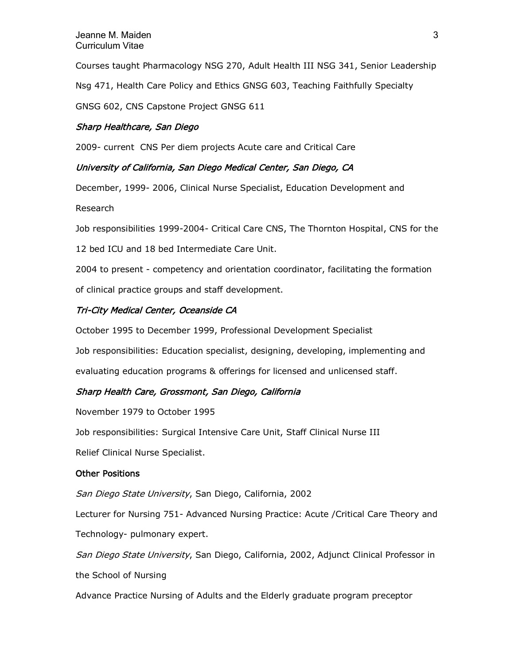Courses taught Pharmacology NSG 270, Adult Health III NSG 341, Senior Leadership Nsg 471, Health Care Policy and Ethics GNSG 603, Teaching Faithfully Specialty GNSG 602, CNS Capstone Project GNSG 611

## Sharp Healthcare, San Diego

2009- current CNS Per diem projects Acute care and Critical Care

## University of California, San Diego Medical Center, San Diego, CA

December, 1999- 2006, Clinical Nurse Specialist, Education Development and

Research

Job responsibilities 1999-2004- Critical Care CNS, The Thornton Hospital, CNS for the

12 bed ICU and 18 bed Intermediate Care Unit.

2004 to present - competency and orientation coordinator, facilitating the formation of clinical practice groups and staff development.

## Tri-City Medical Center, Oceanside CA

October 1995 to December 1999, Professional Development Specialist

Job responsibilities: Education specialist, designing, developing, implementing and evaluating education programs & offerings for licensed and unlicensed staff.

## Sharp Health Care, Grossmont, San Diego, California

November 1979 to October 1995

Job responsibilities: Surgical Intensive Care Unit, Staff Clinical Nurse III

Relief Clinical Nurse Specialist.

### Other Positions

San Diego State University, San Diego, California, 2002

Lecturer for Nursing 751- Advanced Nursing Practice: Acute /Critical Care Theory and Technology- pulmonary expert.

San Diego State University, San Diego, California, 2002, Adjunct Clinical Professor in

the School of Nursing

Advance Practice Nursing of Adults and the Elderly graduate program preceptor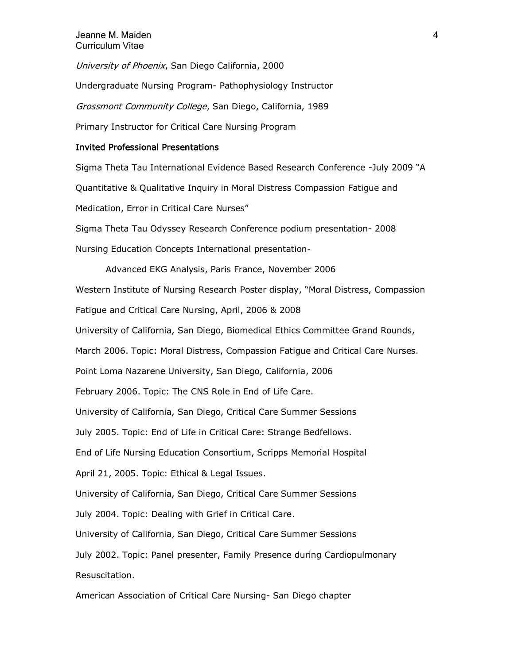University of Phoenix, San Diego California, 2000

Undergraduate Nursing Program- Pathophysiology Instructor

Grossmont Community College, San Diego, California, 1989

Primary Instructor for Critical Care Nursing Program

### Invited Professional Presentations

Sigma Theta Tau International Evidence Based Research Conference -July 2009 "A Quantitative & Qualitative Inquiry in Moral Distress Compassion Fatigue and Medication, Error in Critical Care Nurses" Sigma Theta Tau Odyssey Research Conference podium presentation- 2008

Nursing Education Concepts International presentation-

Advanced EKG Analysis, Paris France, November 2006 Western Institute of Nursing Research Poster display, "Moral Distress, Compassion Fatigue and Critical Care Nursing, April, 2006 & 2008 University of California, San Diego, Biomedical Ethics Committee Grand Rounds, March 2006. Topic: Moral Distress, Compassion Fatigue and Critical Care Nurses. Point Loma Nazarene University, San Diego, California, 2006 February 2006. Topic: The CNS Role in End of Life Care. University of California, San Diego, Critical Care Summer Sessions July 2005. Topic: End of Life in Critical Care: Strange Bedfellows. End of Life Nursing Education Consortium, Scripps Memorial Hospital April 21, 2005. Topic: Ethical & Legal Issues. University of California, San Diego, Critical Care Summer Sessions July 2004. Topic: Dealing with Grief in Critical Care. University of California, San Diego, Critical Care Summer Sessions July 2002. Topic: Panel presenter, Family Presence during Cardiopulmonary Resuscitation. American Association of Critical Care Nursing- San Diego chapter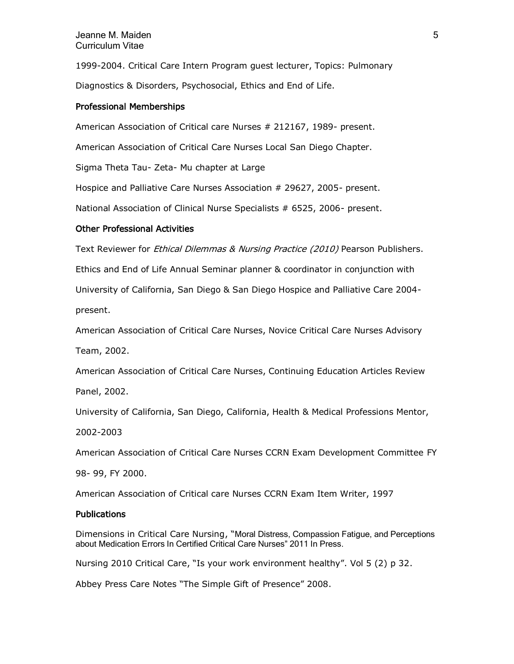### Jeanne M. Maiden 5 Curriculum Vitae

1999-2004. Critical Care Intern Program guest lecturer, Topics: Pulmonary Diagnostics & Disorders, Psychosocial, Ethics and End of Life.

### Professional Memberships

American Association of Critical care Nurses # 212167, 1989- present.

American Association of Critical Care Nurses Local San Diego Chapter.

Sigma Theta Tau- Zeta- Mu chapter at Large

Hospice and Palliative Care Nurses Association # 29627, 2005- present.

National Association of Clinical Nurse Specialists # 6525, 2006- present.

## Other Professional Activities

Text Reviewer for Ethical Dilemmas & Nursing Practice (2010) Pearson Publishers.

Ethics and End of Life Annual Seminar planner & coordinator in conjunction with

University of California, San Diego & San Diego Hospice and Palliative Care 2004-

present.

American Association of Critical Care Nurses, Novice Critical Care Nurses Advisory

Team, 2002.

American Association of Critical Care Nurses, Continuing Education Articles Review

Panel, 2002.

University of California, San Diego, California, Health & Medical Professions Mentor,

2002-2003

American Association of Critical Care Nurses CCRN Exam Development Committee FY

98- 99, FY 2000.

American Association of Critical care Nurses CCRN Exam Item Writer, 1997

### Publications

Dimensions in Critical Care Nursing, "Moral Distress, Compassion Fatigue, and Perceptions about Medication Errors In Certified Critical Care Nurses" 2011 In Press.

Nursing 2010 Critical Care, "Is your work environment healthy". Vol 5 (2) p 32.

Abbey Press Care Notes "The Simple Gift of Presence" 2008.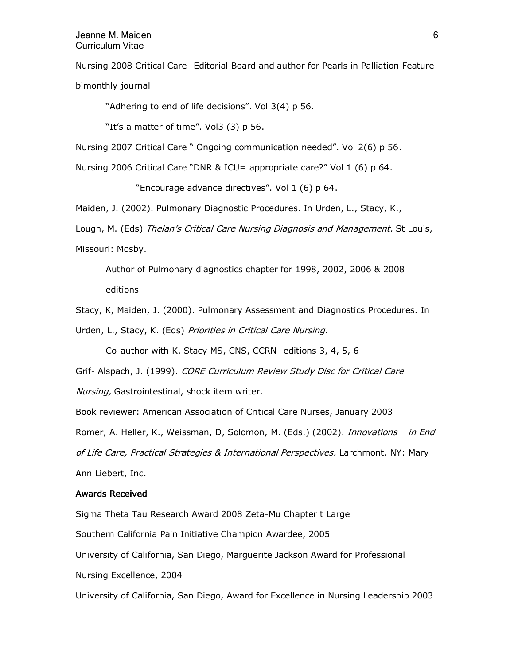### Jeanne M. Maiden 6 Curriculum Vitae

Nursing 2008 Critical Care- Editorial Board and author for Pearls in Palliation Feature bimonthly journal

"Adhering to end of life decisions". Vol 3(4) p 56.

"It's a matter of time". Vol3 (3) p 56.

Nursing 2007 Critical Care " Ongoing communication needed". Vol 2(6) p 56.

Nursing 2006 Critical Care "DNR & ICU= appropriate care?" Vol 1 (6) p 64.

"Encourage advance directives". Vol 1 (6) p 64.

Maiden, J. (2002). Pulmonary Diagnostic Procedures. In Urden, L., Stacy, K.,

Lough, M. (Eds) Thelan's Critical Care Nursing Diagnosis and Management. St Louis, Missouri: Mosby.

Author of Pulmonary diagnostics chapter for 1998, 2002, 2006 & 2008 editions

Stacy, K, Maiden, J. (2000). Pulmonary Assessment and Diagnostics Procedures. In Urden, L., Stacy, K. (Eds) Priorities in Critical Care Nursing.

Co-author with K. Stacy MS, CNS, CCRN- editions 3, 4, 5, 6

Grif- Alspach, J. (1999). CORE Curriculum Review Study Disc for Critical Care

Nursing, Gastrointestinal, shock item writer.

Book reviewer: American Association of Critical Care Nurses, January 2003 Romer, A. Heller, K., Weissman, D, Solomon, M. (Eds.) (2002). *Innovations in End* of Life Care, Practical Strategies & International Perspectives. Larchmont, NY: Mary Ann Liebert, Inc.

#### Awards Received

Sigma Theta Tau Research Award 2008 Zeta-Mu Chapter t Large

Southern California Pain Initiative Champion Awardee, 2005

University of California, San Diego, Marguerite Jackson Award for Professional

Nursing Excellence, 2004

University of California, San Diego, Award for Excellence in Nursing Leadership 2003